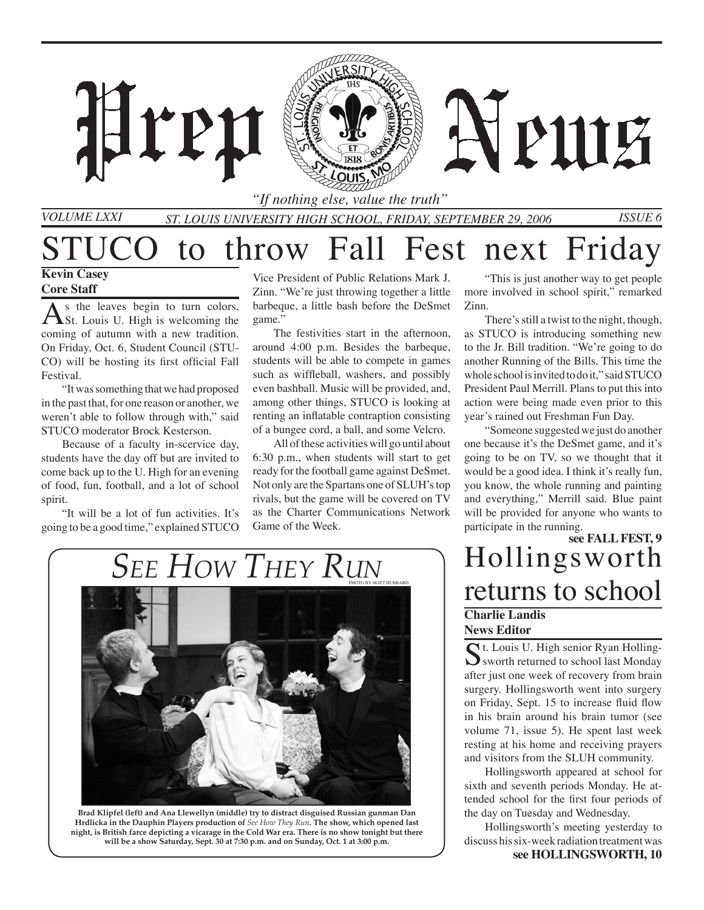

*Volume LXXI*

*St. Louis University High School, Friday, SEPTEMBER 29, 2006 Issue 6 "If nothing else, value the truth"*

## STUCO to throw Fall Fest next Friday

#### **Kevin Casey Core Staff**

As the leaves begin to turn colors,<br>St. Louis U. High is welcoming the coming of autumn with a new tradition. On Friday, Oct. 6, Student Council (STU-CO) will be hosting its first official Fall Festival.

"It was something that we had proposed in the past that, for one reason or another, we weren't able to follow through with," said STUCO moderator Brock Kesterson.

Because of a faculty in-scervice day, students have the day off but are invited to come back up to the U. High for an evening of food, fun, football, and a lot of school spirit.

"It will be a lot of fun activities. It's going to be a good time," explained STUCO

Vice President of Public Relations Mark J. Zinn. "We're just throwing together a little barbeque, a little bash before the DeSmet game."

The festivities start in the afternoon, around 4:00 p.m. Besides the barbeque, students will be able to compete in games such as wiffleball, washers, and possibly even bashball. Music will be provided, and, among other things, STUCO is looking at renting an inflatable contraption consisting of a bungee cord, a ball, and some Velcro.

All of these activities will go until about 6:30 p.m., when students will start to get ready for the football game against DeSmet. Not only are the Spartans one of SLUH's top rivals, but the game will be covered on TV as the Charter Communications Network Game of the Week.

"This is just another way to get people more involved in school spirit," remarked Zinn.

There's still a twist to the night, though, as STUCO is introducing something new to the Jr. Bill tradition. "We're going to do another Running of the Bills. This time the whole school is invited to do it," said STUCO President Paul Merrill. Plans to put this into action were being made even prior to this year's rained out Freshman Fun Day.

"Someone suggested we just do another one because it's the DeSmet game, and it's going to be on TV, so we thought that it would be a good idea. I think it's really fun, you know, the whole running and painting and everything," Merrill said. Blue paint will be provided for anyone who wants to participate in the running.

#### **see FALL FEST, 9** Hollingsworth returns to school **Charlie Landis News Editor**

St. Louis U. High senior Ryan Holling-<br>Sworth returned to school last Monday after just one week of recovery from brain surgery. Hollingsworth went into surgery on Friday, Sept. 15 to increase fluid flow in his brain around his brain tumor (see volume 71, issue 5). He spent last week resting at his home and receiving prayers and visitors from the SLUH community.

Hollingsworth appeared at school for sixth and seventh periods Monday. He attended school for the first four periods of the day on Tuesday and Wednesday.

Hollingsworth's meeting yesterday to discuss his six-week radiation treatment was **see HOLLINGSWORTH, 10**

## *See How They Run*



**Brad Klipfel (left) and Ana Llewellyn (middle) try to distract disguised Russian gunman Dan Hrdlicka in the Dauphin Players production of** *See How They Run***. The show, which opened last night, is British farce depicting a vicarage in the Cold War era. There is no show tonight but there will be a show Saturday, Sept. 30 at 7:30 p.m. and on Sunday, Oct. 1 at 3:00 p.m.**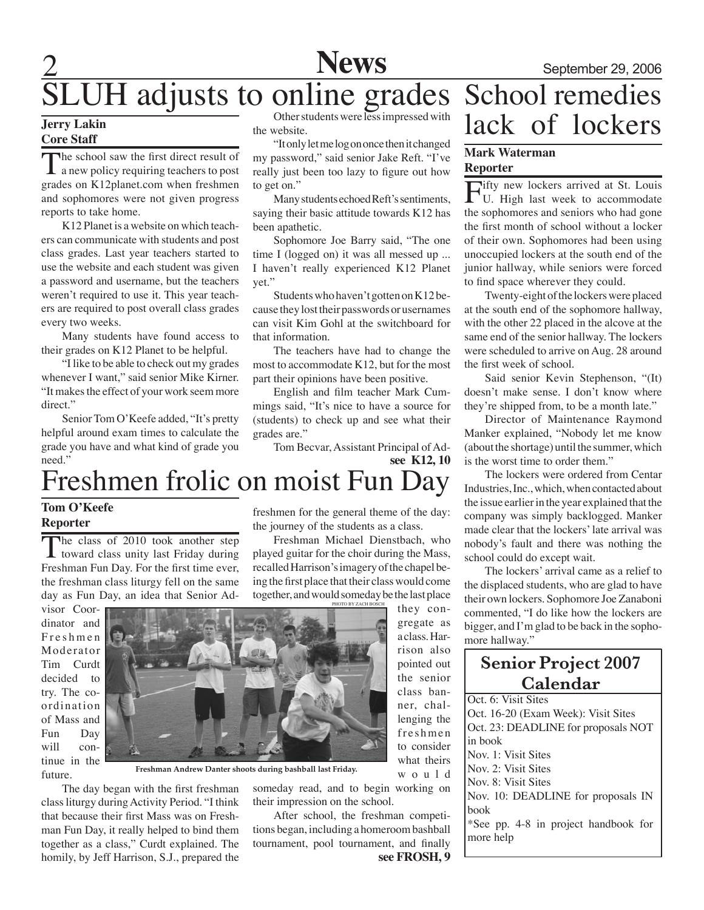

#### **Jerry Lakin Core Staff**

The school saw the first direct result of<br>a new policy requiring teachers to post grades on K12planet.com when freshmen and sophomores were not given progress reports to take home.

K12 Planet is a website on which teachers can communicate with students and post class grades. Last year teachers started to use the website and each student was given a password and username, but the teachers weren't required to use it. This year teachers are required to post overall class grades every two weeks.

Many students have found access to their grades on K12 Planet to be helpful.

"I like to be able to check out my grades whenever I want," said senior Mike Kirner. "It makes the effect of your work seem more direct"

Senior Tom O'Keefe added, "It's pretty helpful around exam times to calculate the grade you have and what kind of grade you need."

SLUH adjusts to online grades Other students were less impressed with the website.

> "It only let me log on once then it changed my password," said senior Jake Reft. "I've really just been too lazy to figure out how to get on."

> Many students echoed Reft's sentiments, saying their basic attitude towards K12 has been apathetic.

> Sophomore Joe Barry said, "The one time I (logged on) it was all messed up ... I haven't really experienced K12 Planet yet."

> Students who haven't gotten on K12 because they lost their passwords or usernames can visit Kim Gohl at the switchboard for that information.

> The teachers have had to change the most to accommodate K12, but for the most part their opinions have been positive.

> English and film teacher Mark Cummings said, "It's nice to have a source for (students) to check up and see what their grades are."

**see K12, 10** Tom Becvar, Assistant Principal of Ad-

## Freshmen frolic on moist Fun Day

#### **Tom O'Keefe Reporter**

The class of 2010 took another step<br>toward class unity last Friday during Freshman Fun Day. For the first time ever, the freshman class liturgy fell on the same day as Fun Day, an idea that Senior Ad-

visor Coordinator and F r e s h m e n Moderator Tim Curdt decided to try. The coordination of Mass and Fun Day will continue in the future.



**Freshman Andrew Danter shoots during bashball last Friday.**

The day began with the first freshman class liturgy during Activity Period. "I think that because their first Mass was on Freshman Fun Day, it really helped to bind them together as a class," Curdt explained. The homily, by Jeff Harrison, S.J., prepared the

freshmen for the general theme of the day: the journey of the students as a class.

Freshman Michael Dienstbach, who played guitar for the choir during the Mass, recalled Harrison's imagery of the chapel being the first place that their class would come together, and would someday be the last place

After school, the freshman competitions began, including a homeroom bashball tournament, pool tournament, and finally

they congregate as a class. Harrison also pointed out the senior class banner, challenging the freshmen to consider what theirs w o u l d someday read, and to begin working on their impression on the school.

## **News** September 29, 2006 School remedies lack of lockers

#### **Mark Waterman Reporter**

Fifty new lockers arrived at St. Louis U. High last week to accommodate the sophomores and seniors who had gone the first month of school without a locker of their own. Sophomores had been using unoccupied lockers at the south end of the junior hallway, while seniors were forced to find space wherever they could.

Twenty-eight of the lockers were placed at the south end of the sophomore hallway, with the other 22 placed in the alcove at the same end of the senior hallway. The lockers were scheduled to arrive on Aug. 28 around the first week of school.

Said senior Kevin Stephenson, "(It) doesn't make sense. I don't know where they're shipped from, to be a month late."

Director of Maintenance Raymond Manker explained, "Nobody let me know (about the shortage) until the summer, which is the worst time to order them."

The lockers were ordered from Centar Industries, Inc., which, when contacted about the issue earlier in the year explained that the company was simply backlogged. Manker made clear that the lockers' late arrival was nobody's fault and there was nothing the school could do except wait.

The lockers' arrival came as a relief to the displaced students, who are glad to have their own lockers. Sophomore Joe Zanaboni commented, "I do like how the lockers are bigger, and I'm glad to be back in the sophomore hallway."

#### **Senior Project 2007 Calendar**

Oct. 6: Visit Sites Oct. 16-20 (Exam Week): Visit Sites Oct. 23: DEADLINE for proposals NOT in book Nov. 1: Visit Sites Nov. 2: Visit Sites Nov. 8: Visit Sites Nov. 10: DEADLINE for proposals IN book \*See pp. 4-8 in project handbook for more help

**see FROSH, 9**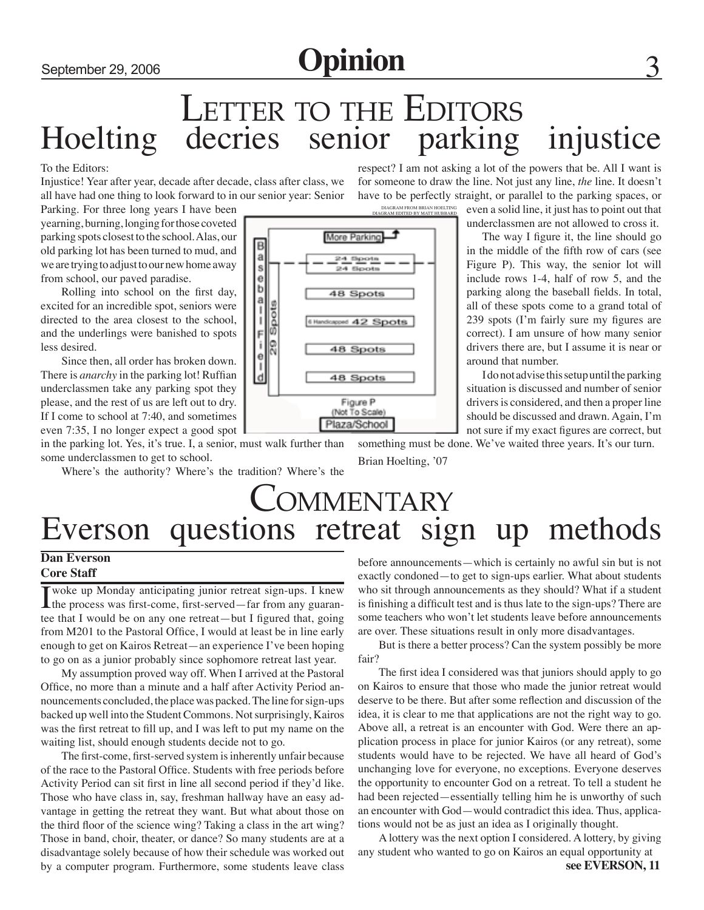## LETTER TO THE EDITORS<br>decries senior parking Hoelting decries senior parking injustice

To the Editors:

Injustice! Year after year, decade after decade, class after class, we all have had one thing to look forward to in our senior year: Senior

Parking. For three long years I have been yearning, burning, longing for those coveted parking spots closest to the school. Alas, our old parking lot has been turned to mud, and we are trying to adjust to our new home away from school, our paved paradise.

Rolling into school on the first day, excited for an incredible spot, seniors were directed to the area closest to the school, and the underlings were banished to spots less desired.

Since then, all order has broken down. There is *anarchy* in the parking lot! Ruffian underclassmen take any parking spot they please, and the rest of us are left out to dry. If I come to school at 7:40, and sometimes even 7:35, I no longer expect a good spot

in the parking lot. Yes, it's true. I, a senior, must walk further than some underclassmen to get to school.

Where's the authority? Where's the tradition? Where's the

respect? I am not asking a lot of the powers that be. All I want is for someone to draw the line. Not just any line, *the* line. It doesn't have to be perfectly straight, or parallel to the parking spaces, or

DIAGRAM FROM BRIAN HC<br>DIAGRAM EDITED BY MATT HU

even a solid line, it just has to point out that underclassmen are not allowed to cross it.

The way I figure it, the line should go in the middle of the fifth row of cars (see Figure P). This way, the senior lot will include rows 1-4, half of row 5, and the parking along the baseball fields. In total, all of these spots come to a grand total of 239 spots (I'm fairly sure my figures are correct). I am unsure of how many senior drivers there are, but I assume it is near or around that number.

I do not advise this setup until the parking situation is discussed and number of senior drivers is considered, and then a proper line should be discussed and drawn. Again, I'm not sure if my exact figures are correct, but

something must be done. We've waited three years. It's our turn.

Brian Hoelting, '07

## **COMMENTARY** Everson questions retreat sign up methods

#### **Dan Everson Core Staff**

I woke up Monday anticipating junior retreat sign-ups. I knew the process was first-come, first-served—far from any guarantee that I would be on any one retreat—but I figured that, going from M201 to the Pastoral Office, I would at least be in line early enough to get on Kairos Retreat—an experience I've been hoping to go on as a junior probably since sophomore retreat last year.

My assumption proved way off. When I arrived at the Pastoral Office, no more than a minute and a half after Activity Period announcements concluded, the place was packed. The line for sign-ups backed up well into the Student Commons. Not surprisingly, Kairos was the first retreat to fill up, and I was left to put my name on the waiting list, should enough students decide not to go.

The first-come, first-served system is inherently unfair because of the race to the Pastoral Office. Students with free periods before Activity Period can sit first in line all second period if they'd like. Those who have class in, say, freshman hallway have an easy advantage in getting the retreat they want. But what about those on the third floor of the science wing? Taking a class in the art wing? Those in band, choir, theater, or dance? So many students are at a disadvantage solely because of how their schedule was worked out by a computer program. Furthermore, some students leave class before announcements—which is certainly no awful sin but is not exactly condoned—to get to sign-ups earlier. What about students who sit through announcements as they should? What if a student is finishing a difficult test and is thus late to the sign-ups? There are some teachers who won't let students leave before announcements are over. These situations result in only more disadvantages.

But is there a better process? Can the system possibly be more fair?

The first idea I considered was that juniors should apply to go on Kairos to ensure that those who made the junior retreat would deserve to be there. But after some reflection and discussion of the idea, it is clear to me that applications are not the right way to go. Above all, a retreat is an encounter with God. Were there an application process in place for junior Kairos (or any retreat), some students would have to be rejected. We have all heard of God's unchanging love for everyone, no exceptions. Everyone deserves the opportunity to encounter God on a retreat. To tell a student he had been rejected—essentially telling him he is unworthy of such an encounter with God—would contradict this idea. Thus, applications would not be as just an idea as I originally thought.

**see EVERSON, 11** A lottery was the next option I considered. A lottery, by giving any student who wanted to go on Kairos an equal opportunity at

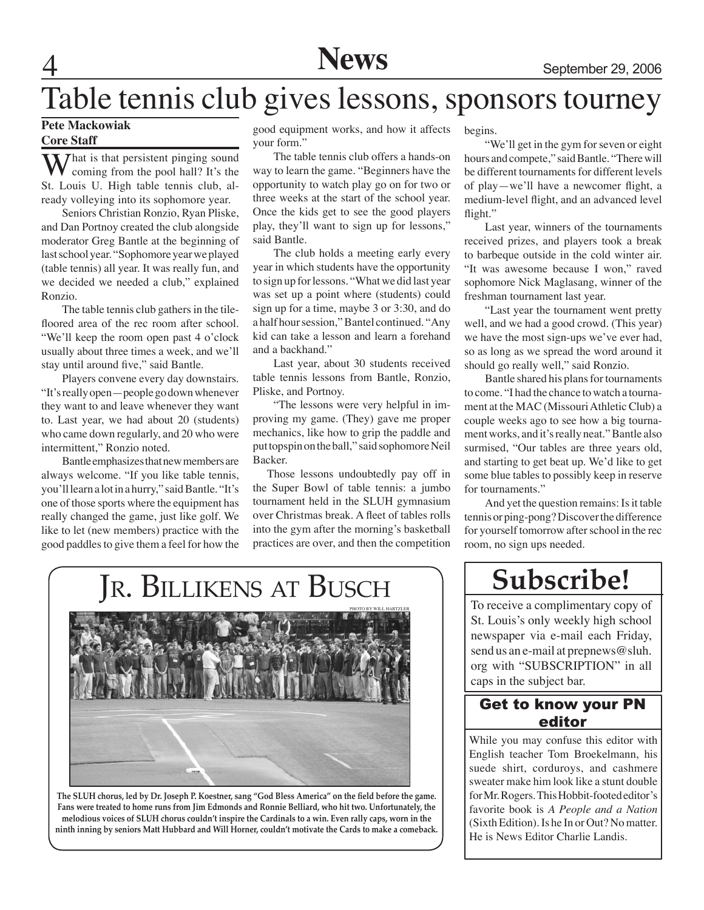## Table tennis club gives lessons, sponsors tourney

#### **Pete Mackowiak Core Staff**

 $\sum$  *T* hat is that persistent pinging sound coming from the pool hall? It's the St. Louis U. High table tennis club, already volleying into its sophomore year.

Seniors Christian Ronzio, Ryan Pliske, and Dan Portnoy created the club alongside moderator Greg Bantle at the beginning of last school year. "Sophomore year we played (table tennis) all year. It was really fun, and we decided we needed a club," explained Ronzio.

The table tennis club gathers in the tilefloored area of the rec room after school. "We'll keep the room open past 4 o'clock usually about three times a week, and we'll stay until around five," said Bantle.

Players convene every day downstairs. "It's really open—people go down whenever they want to and leave whenever they want to. Last year, we had about 20 (students) who came down regularly, and 20 who were intermittent," Ronzio noted.

Bantle emphasizes that new members are always welcome. "If you like table tennis, you'll learn a lot in a hurry," said Bantle. "It's one of those sports where the equipment has really changed the game, just like golf. We like to let (new members) practice with the good paddles to give them a feel for how the

good equipment works, and how it affects your form."

The table tennis club offers a hands-on way to learn the game. "Beginners have the opportunity to watch play go on for two or three weeks at the start of the school year. Once the kids get to see the good players play, they'll want to sign up for lessons," said Bantle.

The club holds a meeting early every year in which students have the opportunity to sign up for lessons. "What we did last year was set up a point where (students) could sign up for a time, maybe 3 or 3:30, and do a half hour session," Bantel continued. "Any kid can take a lesson and learn a forehand and a backhand."

Last year, about 30 students received table tennis lessons from Bantle, Ronzio, Pliske, and Portnoy.

"The lessons were very helpful in improving my game. (They) gave me proper mechanics, like how to grip the paddle and put topspin on the ball," said sophomore Neil Backer.

 Those lessons undoubtedly pay off in the Super Bowl of table tennis: a jumbo tournament held in the SLUH gymnasium over Christmas break. A fleet of tables rolls into the gym after the morning's basketball practices are over, and then the competition

begins.

"We'll get in the gym for seven or eight hours and compete," said Bantle. "There will be different tournaments for different levels of play—we'll have a newcomer flight, a medium-level flight, and an advanced level flight."

Last year, winners of the tournaments received prizes, and players took a break to barbeque outside in the cold winter air. "It was awesome because I won," raved sophomore Nick Maglasang, winner of the freshman tournament last year.

"Last year the tournament went pretty well, and we had a good crowd. (This year) we have the most sign-ups we've ever had, so as long as we spread the word around it should go really well," said Ronzio.

Bantle shared his plans for tournaments to come. "I had the chance to watch a tournament at the MAC (Missouri Athletic Club) a couple weeks ago to see how a big tournament works, and it's really neat." Bantle also surmised, "Our tables are three years old, and starting to get beat up. We'd like to get some blue tables to possibly keep in reserve for tournaments."

And yet the question remains: Is it table tennis or ping-pong? Discover the difference for yourself tomorrow after school in the rec room, no sign ups needed.

## **Subscribe!**

To receive a complimentary copy of St. Louis's only weekly high school newspaper via e-mail each Friday, send us an e-mail at prepnews@sluh. org with "SUBSCRIPTION" in all caps in the subject bar.

#### Get to know your PN editor

While you may confuse this editor with English teacher Tom Broekelmann, his suede shirt, corduroys, and cashmere sweater make him look like a stunt double for Mr. Rogers. This Hobbit-footed editor's favorite book is *A People and a Nation* (Sixth Edition). Is he In or Out? No matter. He is News Editor Charlie Landis.

# Jr. BILLIKENS AT BUSCH

**The SLUH chorus, led by Dr. Joseph P. Koestner, sang "God Bless America" on the field before the game. Fans were treated to home runs from Jim Edmonds and Ronnie Belliard, who hit two. Unfortunately, the melodious voices of SLUH chorus couldn't inspire the Cardinals to a win. Even rally caps, worn in the ninth inning by seniors Matt Hubbard and Will Horner, couldn't motivate the Cards to make a comeback.**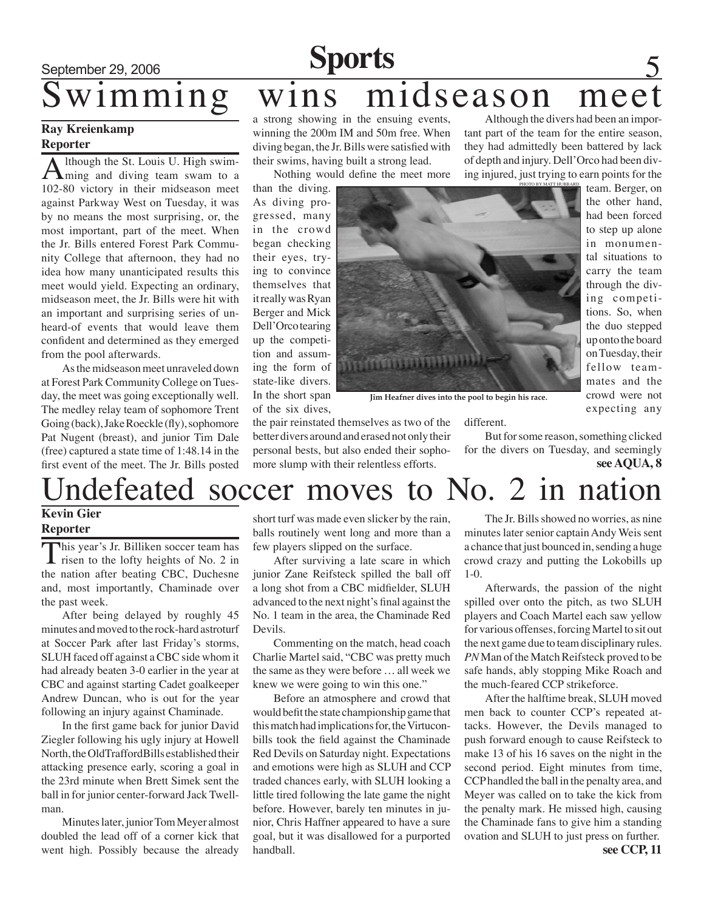# September 29, 2006 **Sports**

#### **Ray Kreienkamp Reporter**

Although the St. Louis U. High swim-<br>ming and diving team swam to a 102-80 victory in their midseason meet against Parkway West on Tuesday, it was by no means the most surprising, or, the most important, part of the meet. When the Jr. Bills entered Forest Park Community College that afternoon, they had no idea how many unanticipated results this meet would yield. Expecting an ordinary, midseason meet, the Jr. Bills were hit with an important and surprising series of unheard-of events that would leave them confident and determined as they emerged from the pool afterwards.

As the midseason meet unraveled down at Forest Park Community College on Tuesday, the meet was going exceptionally well. The medley relay team of sophomore Trent Going (back), Jake Roeckle (fly), sophomore Pat Nugent (breast), and junior Tim Dale (free) captured a state time of 1:48.14 in the first event of the meet. The Jr. Bills posted

## wimming wins midseason meet Although the divers had been an impor-

a strong showing in the ensuing events, winning the 200m IM and 50m free. When diving began, the Jr. Bills were satisfied with their swims, having built a strong lead.

Nothing would define the meet more

than the diving. As diving progressed, many in the crowd began checking their eyes, trying to convince themselves that it really was Ryan Berger and Mick Dell'Orco tearing up the competition and assuming the form of state-like divers. In the short span of the six dives,



**Jim Heafner dives into the pool to begin his race.**

different.

But for some reason, something clicked for the divers on Tuesday, and seemingly **see AQUA, 8**

tant part of the team for the entire season, they had admittedly been battered by lack of depth and injury. Dell'Orco had been diving injured, just trying to earn points for the

> team. Berger, on the other hand, had been forced to step up alone in monumental situations to carry the team through the diving competitions. So, when the duo stepped up onto the board on Tuesday, their fellow teammates and the crowd were not expecting any

## Undefeated soccer moves to No. 2 in nation

the pair reinstated themselves as two of the better divers around and erased not only their personal bests, but also ended their sophomore slump with their relentless efforts.

#### **Kevin Gier Reporter**

This year's Jr. Billiken soccer team has  $\perp$  risen to the lofty heights of No. 2 in the nation after beating CBC, Duchesne and, most importantly, Chaminade over the past week.

After being delayed by roughly 45 minutes and moved to the rock-hard astroturf at Soccer Park after last Friday's storms, SLUH faced off against a CBC side whom it had already beaten 3-0 earlier in the year at CBC and against starting Cadet goalkeeper Andrew Duncan, who is out for the year following an injury against Chaminade.

In the first game back for junior David Ziegler following his ugly injury at Howell North, the OldTraffordBills established their attacking presence early, scoring a goal in the 23rd minute when Brett Simek sent the ball in for junior center-forward Jack Twellman.

Minutes later, junior Tom Meyer almost doubled the lead off of a corner kick that went high. Possibly because the already short turf was made even slicker by the rain, balls routinely went long and more than a few players slipped on the surface.

After surviving a late scare in which junior Zane Reifsteck spilled the ball off a long shot from a CBC midfielder, SLUH advanced to the next night's final against the No. 1 team in the area, the Chaminade Red Devils.

Commenting on the match, head coach Charlie Martel said, "CBC was pretty much the same as they were before … all week we knew we were going to win this one."

Before an atmosphere and crowd that would befit the state championship game that this match had implications for, the Virtuconbills took the field against the Chaminade Red Devils on Saturday night. Expectations and emotions were high as SLUH and CCP traded chances early, with SLUH looking a little tired following the late game the night before. However, barely ten minutes in junior, Chris Haffner appeared to have a sure goal, but it was disallowed for a purported handball.

The Jr. Bills showed no worries, as nine minutes later senior captain Andy Weis sent a chance that just bounced in, sending a huge crowd crazy and putting the Lokobills up 1-0.

Afterwards, the passion of the night spilled over onto the pitch, as two SLUH players and Coach Martel each saw yellow for various offenses, forcing Martel to sit out the next game due to team disciplinary rules. *PN* Man of the Match Reifsteck proved to be safe hands, ably stopping Mike Roach and the much-feared CCP strikeforce.

**see CCP, 11** After the halftime break, SLUH moved men back to counter CCP's repeated attacks. However, the Devils managed to push forward enough to cause Reifsteck to make 13 of his 16 saves on the night in the second period. Eight minutes from time, CCP handled the ball in the penalty area, and Meyer was called on to take the kick from the penalty mark. He missed high, causing the Chaminade fans to give him a standing ovation and SLUH to just press on further.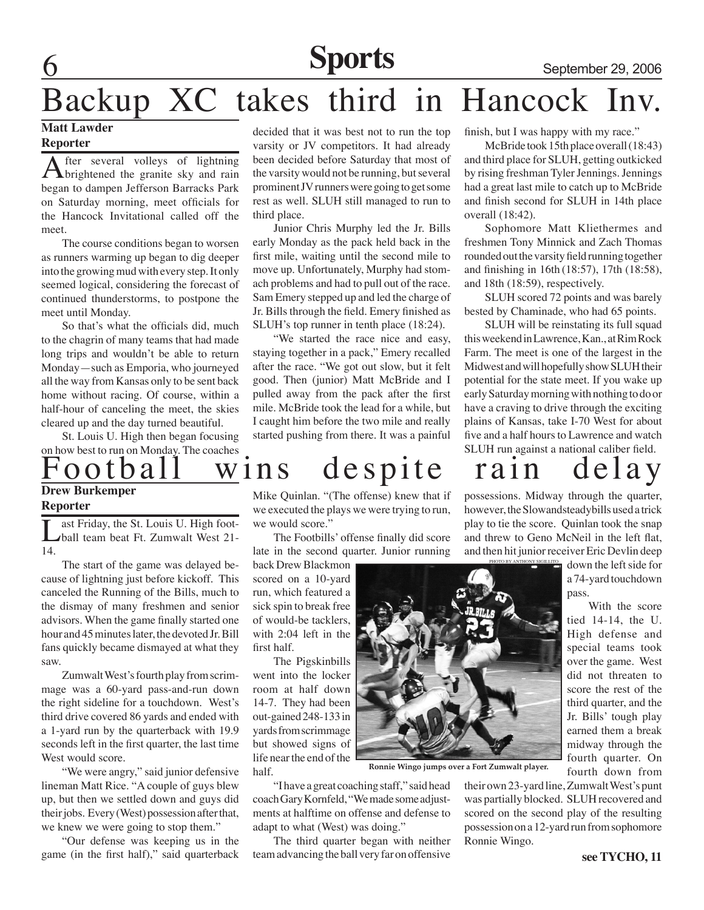**Sports** September 29, 2006

## Backup XC takes third in Hancock Inv.

#### **Matt Lawder**

#### **Reporter**

After several volleys of lightning<br>brightened the granite sky and rain began to dampen Jefferson Barracks Park on Saturday morning, meet officials for the Hancock Invitational called off the meet.

The course conditions began to worsen as runners warming up began to dig deeper into the growing mud with every step. It only seemed logical, considering the forecast of continued thunderstorms, to postpone the meet until Monday.

So that's what the officials did, much to the chagrin of many teams that had made long trips and wouldn't be able to return Monday—such as Emporia, who journeyed all the way from Kansas only to be sent back home without racing. Of course, within a half-hour of canceling the meet, the skies cleared up and the day turned beautiful.

St. Louis U. High then began focusing on how best to run on Monday. The coaches decided that it was best not to run the top varsity or JV competitors. It had already been decided before Saturday that most of the varsity would not be running, but several prominent JV runners were going to get some rest as well. SLUH still managed to run to third place.

Junior Chris Murphy led the Jr. Bills early Monday as the pack held back in the first mile, waiting until the second mile to move up. Unfortunately, Murphy had stomach problems and had to pull out of the race. Sam Emery stepped up and led the charge of Jr. Bills through the field. Emery finished as SLUH's top runner in tenth place (18:24).

"We started the race nice and easy, staying together in a pack," Emery recalled after the race. "We got out slow, but it felt good. Then (junior) Matt McBride and I pulled away from the pack after the first mile. McBride took the lead for a while, but I caught him before the two mile and really started pushing from there. It was a painful

finish, but I was happy with my race."

McBride took 15th place overall (18:43) and third place for SLUH, getting outkicked by rising freshman Tyler Jennings. Jennings had a great last mile to catch up to McBride and finish second for SLUH in 14th place overall (18:42).

Sophomore Matt Kliethermes and freshmen Tony Minnick and Zach Thomas rounded out the varsity field running together and finishing in 16th (18:57), 17th (18:58), and 18th (18:59), respectively.

SLUH scored 72 points and was barely bested by Chaminade, who had 65 points.

SLUH will be reinstating its full squad this weekend in Lawrence, Kan., at Rim Rock Farm. The meet is one of the largest in the Midwest and will hopefully show SLUH their potential for the state meet. If you wake up early Saturday morning with nothing to do or have a craving to drive through the exciting plains of Kansas, take I-70 West for about five and a half hours to Lawrence and watch SLUH run against a national caliber field.

## ootball wins despite rain

and then hit junior receiver Eric Devlin deep

**Drew Burkemper Reporter**

> ast Friday, the St. Louis U. High football team beat Ft. Zumwalt West 21- 14.

> The start of the game was delayed because of lightning just before kickoff. This canceled the Running of the Bills, much to the dismay of many freshmen and senior advisors. When the game finally started one hour and 45 minutes later, the devoted Jr. Bill fans quickly became dismayed at what they saw.

> Zumwalt West's fourth play from scrimmage was a 60-yard pass-and-run down the right sideline for a touchdown. West's third drive covered 86 yards and ended with a 1-yard run by the quarterback with 19.9 seconds left in the first quarter, the last time West would score.

> "We were angry," said junior defensive lineman Matt Rice. "A couple of guys blew up, but then we settled down and guys did their jobs. Every (West) possession after that, we knew we were going to stop them."

> "Our defense was keeping us in the game (in the first half)," said quarterback

Mike Quinlan. "(The offense) knew that if we executed the plays we were trying to run, we would score."

The Footbills' offense finally did score late in the second quarter. Junior running

back Drew Blackmon scored on a 10-yard run, which featured a sick spin to break free of would-be tacklers, with 2:04 left in the first half.

The Pigskinbills went into the locker room at half down 14-7. They had been out-gained 248-133 in yards from scrimmage but showed signs of life near the end of the half.

"I have a great coaching staff," said head coach Gary Kornfeld, "We made some adjustments at halftime on offense and defense to adapt to what (West) was doing."

The third quarter began with neither team advancing the ball very far on offensive



**Ronnie Wingo jumps over a Fort Zumwalt player.**

their own 23-yard line, Zumwalt West's punt was partially blocked. SLUH recovered and scored on the second play of the resulting possession on a 12-yard run from sophomore Ronnie Wingo.

#### possessions. Midway through the quarter, however, the Slowandsteadybills used a trick play to tie the score. Quinlan took the snap and threw to Geno McNeil in the left flat,

down the left side for a 74-yard touchdown pass.

With the score tied 14-14, the U. High defense and special teams took over the game. West did not threaten to score the rest of the third quarter, and the Jr. Bills' tough play earned them a break midway through the fourth quarter. On fourth down from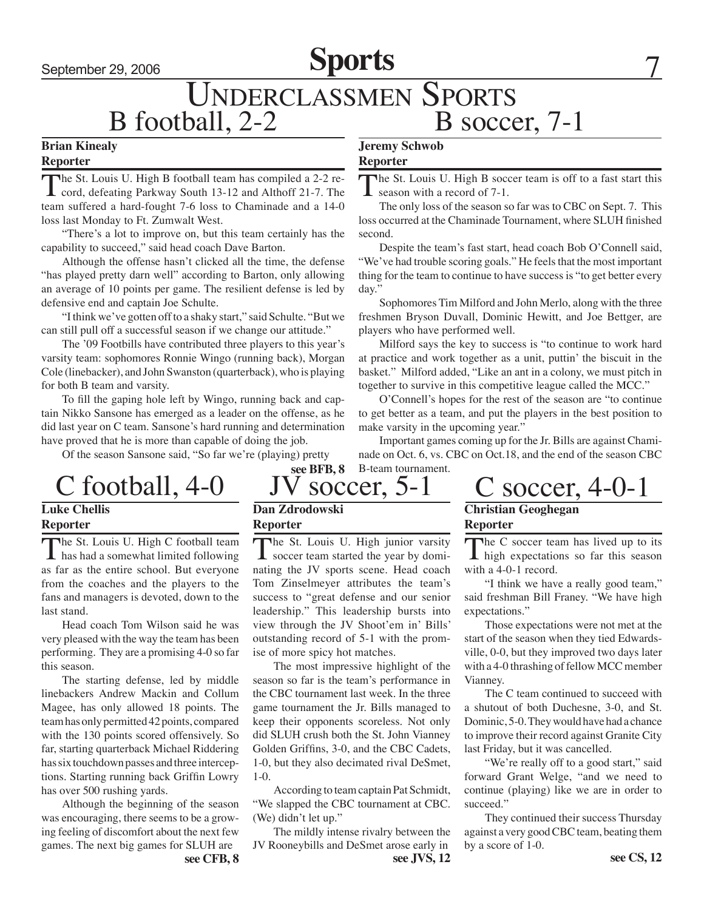## September 29, 2006 **Sports**

## B football, 2-2 B soccer, 7-1 **Jeremy Schwob** Underclassmen Sports

#### **Brian Kinealy Reporter**

The St. Louis U. High B football team has compiled a 2-2 re-<br>cord, defeating Parkway South 13-12 and Althoff 21-7. The team suffered a hard-fought 7-6 loss to Chaminade and a 14-0 loss last Monday to Ft. Zumwalt West.

"There's a lot to improve on, but this team certainly has the capability to succeed," said head coach Dave Barton.

Although the offense hasn't clicked all the time, the defense "has played pretty darn well" according to Barton, only allowing an average of 10 points per game. The resilient defense is led by defensive end and captain Joe Schulte.

"I think we've gotten off to a shaky start," said Schulte. "But we can still pull off a successful season if we change our attitude."

The '09 Footbills have contributed three players to this year's varsity team: sophomores Ronnie Wingo (running back), Morgan Cole (linebacker), and John Swanston (quarterback), who is playing for both B team and varsity.

To fill the gaping hole left by Wingo, running back and captain Nikko Sansone has emerged as a leader on the offense, as he did last year on C team. Sansone's hard running and determination have proved that he is more than capable of doing the job.

Of the season Sansone said, "So far we're (playing) pretty

#### The St. Louis U. High B soccer team is off to a fast start this

**Reporter**

season with a record of 7-1. The only loss of the season so far was to CBC on Sept. 7. This

loss occurred at the Chaminade Tournament, where SLUH finished second.

Despite the team's fast start, head coach Bob O'Connell said, "We've had trouble scoring goals." He feels that the most important thing for the team to continue to have success is "to get better every day."

Sophomores Tim Milford and John Merlo, along with the three freshmen Bryson Duvall, Dominic Hewitt, and Joe Bettger, are players who have performed well.

Milford says the key to success is "to continue to work hard at practice and work together as a unit, puttin' the biscuit in the basket." Milford added, "Like an ant in a colony, we must pitch in together to survive in this competitive league called the MCC."

O'Connell's hopes for the rest of the season are "to continue to get better as a team, and put the players in the best position to make varsity in the upcoming year."

Important games coming up for the Jr. Bills are against Chaminade on Oct. 6, vs. CBC on Oct.18, and the end of the season CBC **see BFB, 8** B-team tournament.

## **Luke Chellis**

#### **Reporter**

The St. Louis U. High C football team<br>has had a somewhat limited following as far as the entire school. But everyone from the coaches and the players to the fans and managers is devoted, down to the last stand.

Head coach Tom Wilson said he was very pleased with the way the team has been performing. They are a promising 4-0 so far this season.

The starting defense, led by middle linebackers Andrew Mackin and Collum Magee, has only allowed 18 points. The team has only permitted 42 points, compared with the 130 points scored offensively. So far, starting quarterback Michael Riddering has six touchdown passes and three interceptions. Starting running back Griffin Lowry has over 500 rushing yards.

Although the beginning of the season was encouraging, there seems to be a growing feeling of discomfort about the next few games. The next big games for SLUH are

**Dan Zdrodowski Reporter**

The St. Louis U. High junior varsity<br>soccer team started the year by dominating the JV sports scene. Head coach Tom Zinselmeyer attributes the team's success to "great defense and our senior leadership." This leadership bursts into view through the JV Shoot'em in' Bills' outstanding record of 5-1 with the promise of more spicy hot matches.

 The most impressive highlight of the season so far is the team's performance in the CBC tournament last week. In the three game tournament the Jr. Bills managed to keep their opponents scoreless. Not only did SLUH crush both the St. John Vianney Golden Griffins, 3-0, and the CBC Cadets, 1-0, but they also decimated rival DeSmet, 1-0.

According to team captain Pat Schmidt, "We slapped the CBC tournament at CBC. (We) didn't let up."

 The mildly intense rivalry between the JV Rooneybills and DeSmet arose early in **see CFB, 8 see JVS, 12 see CS, 12**

 $C$  football, 4-0 JV soccer, 5-1 C soccer, 4-0-1 **Christian Geoghegan**

**Reporter**

The C soccer team has lived up to its<br>high expectations so far this season with a 4-0-1 record.

"I think we have a really good team," said freshman Bill Franey. "We have high expectations."

Those expectations were not met at the start of the season when they tied Edwardsville, 0-0, but they improved two days later with a 4-0 thrashing of fellow MCC member Vianney.

The C team continued to succeed with a shutout of both Duchesne, 3-0, and St. Dominic, 5-0. They would have had a chance to improve their record against Granite City last Friday, but it was cancelled.

"We're really off to a good start," said forward Grant Welge, "and we need to continue (playing) like we are in order to succeed."

They continued their success Thursday against a very good CBC team, beating them by a score of 1-0.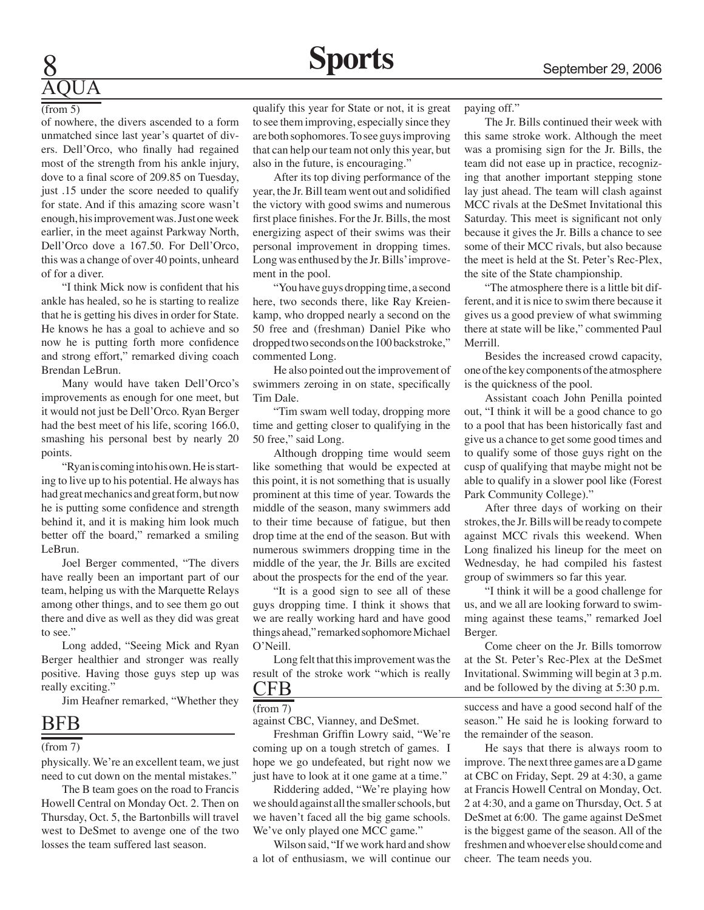# AQUA

#### (from 5)

of nowhere, the divers ascended to a form unmatched since last year's quartet of divers. Dell'Orco, who finally had regained most of the strength from his ankle injury, dove to a final score of 209.85 on Tuesday, just .15 under the score needed to qualify for state. And if this amazing score wasn't enough, his improvement was. Just one week earlier, in the meet against Parkway North, Dell'Orco dove a 167.50. For Dell'Orco, this was a change of over 40 points, unheard of for a diver.

"I think Mick now is confident that his ankle has healed, so he is starting to realize that he is getting his dives in order for State. He knows he has a goal to achieve and so now he is putting forth more confidence and strong effort," remarked diving coach Brendan LeBrun.

Many would have taken Dell'Orco's improvements as enough for one meet, but it would not just be Dell'Orco. Ryan Berger had the best meet of his life, scoring 166.0, smashing his personal best by nearly 20 points.

"Ryan is coming into his own. He is starting to live up to his potential. He always has had great mechanics and great form, but now he is putting some confidence and strength behind it, and it is making him look much better off the board," remarked a smiling LeBrun.

Joel Berger commented, "The divers have really been an important part of our team, helping us with the Marquette Relays among other things, and to see them go out there and dive as well as they did was great to see."

Long added, "Seeing Mick and Ryan Berger healthier and stronger was really positive. Having those guys step up was really exciting."

Jim Heafner remarked, "Whether they

#### BFB

(from 7)

physically. We're an excellent team, we just need to cut down on the mental mistakes."

The B team goes on the road to Francis Howell Central on Monday Oct. 2. Then on Thursday, Oct. 5, the Bartonbills will travel west to DeSmet to avenge one of the two losses the team suffered last season.

qualify this year for State or not, it is great to see them improving, especially since they are both sophomores. To see guys improving that can help our team not only this year, but also in the future, is encouraging."

After its top diving performance of the year, the Jr. Bill team went out and solidified the victory with good swims and numerous first place finishes. For the Jr. Bills, the most energizing aspect of their swims was their personal improvement in dropping times. Long was enthused by the Jr. Bills' improvement in the pool.

"You have guys dropping time, a second here, two seconds there, like Ray Kreienkamp, who dropped nearly a second on the 50 free and (freshman) Daniel Pike who dropped two seconds on the 100 backstroke," commented Long.

He also pointed out the improvement of swimmers zeroing in on state, specifically Tim Dale.

"Tim swam well today, dropping more time and getting closer to qualifying in the 50 free," said Long.

Although dropping time would seem like something that would be expected at this point, it is not something that is usually prominent at this time of year. Towards the middle of the season, many swimmers add to their time because of fatigue, but then drop time at the end of the season. But with numerous swimmers dropping time in the middle of the year, the Jr. Bills are excited about the prospects for the end of the year.

"It is a good sign to see all of these guys dropping time. I think it shows that we are really working hard and have good things ahead," remarked sophomore Michael O'Neill.

Long felt that this improvement was the result of the stroke work "which is really

#### CFB

against CBC, Vianney, and DeSmet. (from 7)

Freshman Griffin Lowry said, "We're coming up on a tough stretch of games. I hope we go undefeated, but right now we just have to look at it one game at a time."

Riddering added, "We're playing how we should against all the smaller schools, but we haven't faced all the big game schools. We've only played one MCC game."

Wilson said, "If we work hard and show a lot of enthusiasm, we will continue our paying off."

The Jr. Bills continued their week with this same stroke work. Although the meet was a promising sign for the Jr. Bills, the team did not ease up in practice, recognizing that another important stepping stone lay just ahead. The team will clash against MCC rivals at the DeSmet Invitational this Saturday. This meet is significant not only because it gives the Jr. Bills a chance to see some of their MCC rivals, but also because the meet is held at the St. Peter's Rec-Plex, the site of the State championship.

"The atmosphere there is a little bit different, and it is nice to swim there because it gives us a good preview of what swimming there at state will be like," commented Paul Merrill.

Besides the increased crowd capacity, one of the key components of the atmosphere is the quickness of the pool.

Assistant coach John Penilla pointed out, "I think it will be a good chance to go to a pool that has been historically fast and give us a chance to get some good times and to qualify some of those guys right on the cusp of qualifying that maybe might not be able to qualify in a slower pool like (Forest Park Community College)."

After three days of working on their strokes, the Jr. Bills will be ready to compete against MCC rivals this weekend. When Long finalized his lineup for the meet on Wednesday, he had compiled his fastest group of swimmers so far this year.

"I think it will be a good challenge for us, and we all are looking forward to swimming against these teams," remarked Joel Berger.

Come cheer on the Jr. Bills tomorrow at the St. Peter's Rec-Plex at the DeSmet Invitational. Swimming will begin at 3 p.m. and be followed by the diving at 5:30 p.m.

success and have a good second half of the season." He said he is looking forward to the remainder of the season.

He says that there is always room to improve. The next three games are a D game at CBC on Friday, Sept. 29 at 4:30, a game at Francis Howell Central on Monday, Oct. 2 at 4:30, and a game on Thursday, Oct. 5 at DeSmet at 6:00. The game against DeSmet is the biggest game of the season. All of the freshmen and whoever else should come and cheer. The team needs you.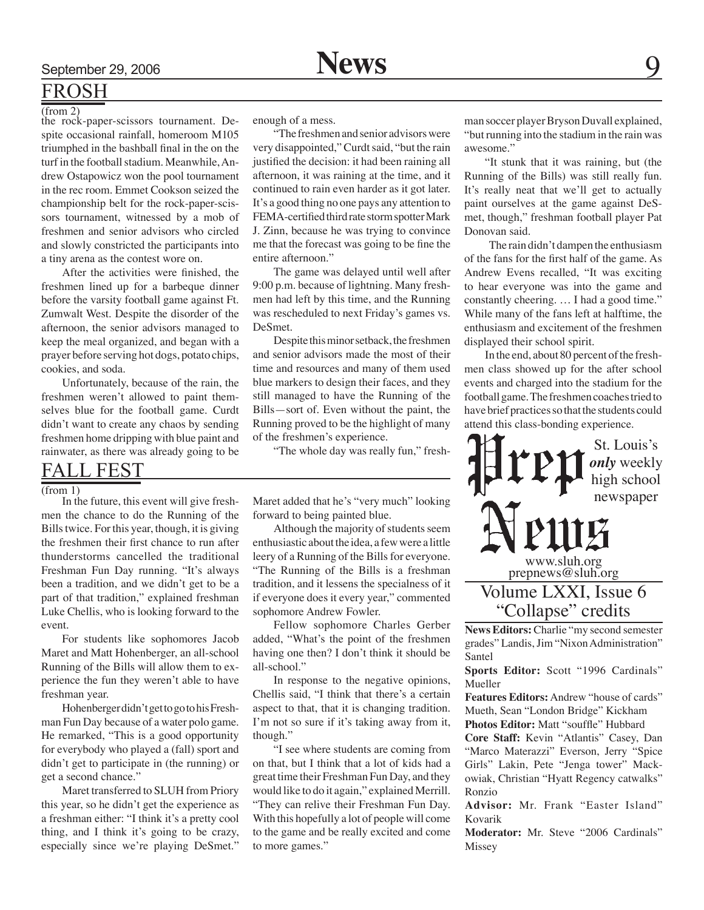## FROSH

the rock-paper-scissors tournament. Despite occasional rainfall, homeroom M105 triumphed in the bashball final in the on the turf in the football stadium. Meanwhile, Andrew Ostapowicz won the pool tournament in the rec room. Emmet Cookson seized the championship belt for the rock-paper-scissors tournament, witnessed by a mob of freshmen and senior advisors who circled and slowly constricted the participants into a tiny arena as the contest wore on.

After the activities were finished, the freshmen lined up for a barbeque dinner before the varsity football game against Ft. Zumwalt West. Despite the disorder of the afternoon, the senior advisors managed to keep the meal organized, and began with a prayer before serving hot dogs, potato chips, cookies, and soda.

Unfortunately, because of the rain, the freshmen weren't allowed to paint themselves blue for the football game. Curdt didn't want to create any chaos by sending freshmen home dripping with blue paint and rainwater, as there was already going to be

### FALL FEST

 $(from 1)$ 

In the future, this event will give freshmen the chance to do the Running of the Bills twice. For this year, though, it is giving the freshmen their first chance to run after thunderstorms cancelled the traditional Freshman Fun Day running. "It's always been a tradition, and we didn't get to be a part of that tradition," explained freshman Luke Chellis, who is looking forward to the event.

For students like sophomores Jacob Maret and Matt Hohenberger, an all-school Running of the Bills will allow them to experience the fun they weren't able to have freshman year.

Hohenberger didn't get to go to his Freshman Fun Day because of a water polo game. He remarked, "This is a good opportunity for everybody who played a (fall) sport and didn't get to participate in (the running) or get a second chance."

Maret transferred to SLUH from Priory this year, so he didn't get the experience as a freshman either: "I think it's a pretty cool thing, and I think it's going to be crazy, especially since we're playing DeSmet."

enough of a mess.

"The freshmen and senior advisors were very disappointed," Curdt said, "but the rain justified the decision: it had been raining all afternoon, it was raining at the time, and it continued to rain even harder as it got later. It's a good thing no one pays any attention to FEMA-certified third rate storm spotter Mark J. Zinn, because he was trying to convince me that the forecast was going to be fine the entire afternoon."

The game was delayed until well after 9:00 p.m. because of lightning. Many freshmen had left by this time, and the Running was rescheduled to next Friday's games vs. DeSmet.

Despite this minor setback, the freshmen and senior advisors made the most of their time and resources and many of them used blue markers to design their faces, and they still managed to have the Running of the Bills—sort of. Even without the paint, the Running proved to be the highlight of many of the freshmen's experience.

"The whole day was really fun," fresh-

Maret added that he's "very much" looking forward to being painted blue.

Although the majority of students seem enthusiastic about the idea, a few were a little leery of a Running of the Bills for everyone. "The Running of the Bills is a freshman tradition, and it lessens the specialness of it if everyone does it every year," commented sophomore Andrew Fowler.

Fellow sophomore Charles Gerber added, "What's the point of the freshmen having one then? I don't think it should be all-school."

In response to the negative opinions, Chellis said, "I think that there's a certain aspect to that, that it is changing tradition. I'm not so sure if it's taking away from it, though."

"I see where students are coming from on that, but I think that a lot of kids had a great time their Freshman Fun Day, and they would like to do it again," explained Merrill. "They can relive their Freshman Fun Day. With this hopefully a lot of people will come to the game and be really excited and come to more games."

(from 2)<br>the rock-paper-scissors tournament. De- enough of a mess. The man soccer player Bryson Duvall explained, "but running into the stadium in the rain was awesome."

> "It stunk that it was raining, but (the Running of the Bills) was still really fun. It's really neat that we'll get to actually paint ourselves at the game against DeSmet, though," freshman football player Pat Donovan said.

> The rain didn't dampen the enthusiasm of the fans for the first half of the game. As Andrew Evens recalled, "It was exciting to hear everyone was into the game and constantly cheering. … I had a good time." While many of the fans left at halftime, the enthusiasm and excitement of the freshmen displayed their school spirit.

> In the end, about 80 percent of the freshmen class showed up for the after school events and charged into the stadium for the football game. The freshmen coaches tried to have brief practices so that the students could attend this class-bonding experience.



**News Editors:** Charlie "my second semester grades" Landis, Jim "Nixon Administration" Santel

**Sports Editor:** Scott "1996 Cardinals" Mueller

**Features Editors:** Andrew "house of cards" Mueth, Sean "London Bridge" Kickham

**Photos Editor:** Matt "souffle" Hubbard

**Core Staff:** Kevin "Atlantis" Casey, Dan "Marco Materazzi" Everson, Jerry "Spice Girls" Lakin, Pete "Jenga tower" Mackowiak, Christian "Hyatt Regency catwalks" Ronzio

**Advisor:** Mr. Frank "Easter Island" Kovarik

**Moderator:** Mr. Steve "2006 Cardinals" Missey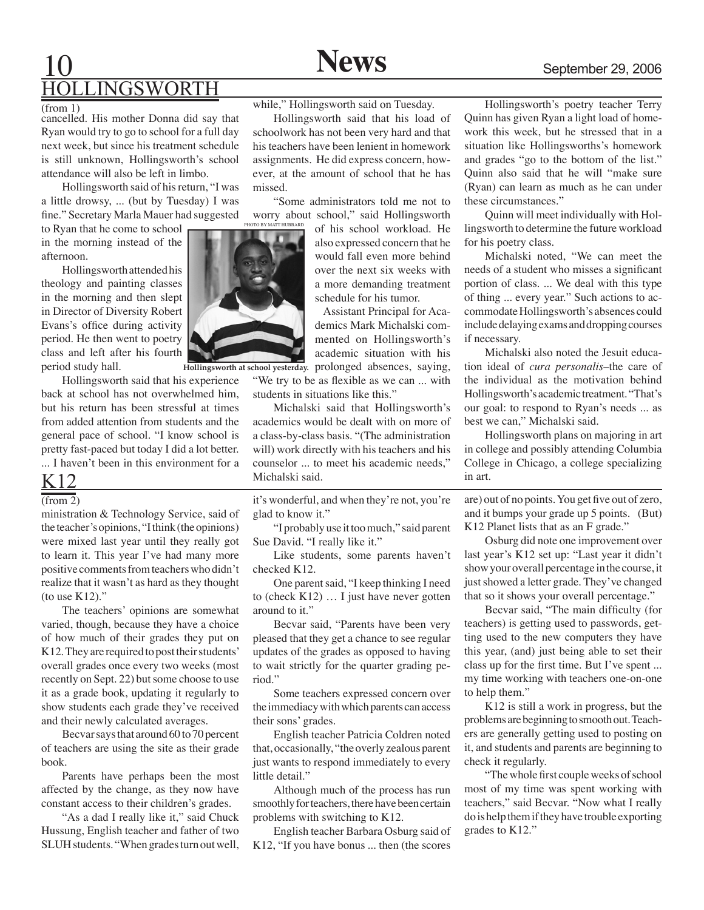## 10 **News** September 29, 2006 **INGSWORTH**

cancelled. His mother Donna did say that Ryan would try to go to school for a full day next week, but since his treatment schedule is still unknown, Hollingsworth's school attendance will also be left in limbo.

Hollingsworth said of his return, "I was a little drowsy, ... (but by Tuesday) I was fine." Secretary Marla Mauer had suggested

to Ryan that he come to school in the morning instead of the afternoon.

Hollingsworth attended his theology and painting classes in the morning and then slept in Director of Diversity Robert Evans's office during activity period. He then went to poetry class and left after his fourth period study hall.

Hollingsworth said that his experience back at school has not overwhelmed him, but his return has been stressful at times from added attention from students and the general pace of school. "I know school is pretty fast-paced but today I did a lot better. ... I haven't been in this environment for a

## K12

 $(\text{from } 2)$ 

ministration & Technology Service, said of the teacher's opinions, "I think (the opinions) were mixed last year until they really got to learn it. This year I've had many more positive comments from teachers who didn't realize that it wasn't as hard as they thought (to use K12)."

The teachers' opinions are somewhat varied, though, because they have a choice of how much of their grades they put on K12. They are required to post their students' overall grades once every two weeks (most recently on Sept. 22) but some choose to use it as a grade book, updating it regularly to show students each grade they've received and their newly calculated averages.

Becvar says that around 60 to 70 percent of teachers are using the site as their grade book.

Parents have perhaps been the most affected by the change, as they now have constant access to their children's grades.

"As a dad I really like it," said Chuck Hussung, English teacher and father of two SLUH students. "When grades turn out well,

while," Hollingsworth said on Tuesday.

Hollingsworth said that his load of schoolwork has not been very hard and that his teachers have been lenient in homework assignments. He did express concern, however, at the amount of school that he has

"Some administrators told me not to worry about school," said Hollingsworth

of his school workload. He also expressed concern that he would fall even more behind over the next six weeks with a more demanding treatment schedule for his tumor.

 Assistant Principal for Academics Mark Michalski commented on Hollingsworth's academic situation with his Hollingsworth at school yesterday. prolonged absences, saying,

"We try to be as flexible as we can ... with students in situations like this."

Michalski said that Hollingsworth's academics would be dealt with on more of a class-by-class basis. "(The administration will) work directly with his teachers and his counselor ... to meet his academic needs," Michalski said.

it's wonderful, and when they're not, you're glad to know it."

"I probably use it too much," said parent Sue David. "I really like it."

Like students, some parents haven't checked K12.

One parent said, "I keep thinking I need to (check K12) … I just have never gotten around to it."

Becvar said, "Parents have been very pleased that they get a chance to see regular updates of the grades as opposed to having to wait strictly for the quarter grading period."

Some teachers expressed concern over the immediacy with which parents can access their sons' grades.

English teacher Patricia Coldren noted that, occasionally, "the overly zealous parent just wants to respond immediately to every little detail."

Although much of the process has run smoothly for teachers, there have been certain problems with switching to K12.

English teacher Barbara Osburg said of K12, "If you have bonus ... then (the scores

Hollingsworth's poetry teacher Terry Quinn has given Ryan a light load of homework this week, but he stressed that in a situation like Hollingsworths's homework and grades "go to the bottom of the list." Quinn also said that he will "make sure (Ryan) can learn as much as he can under these circumstances."

Quinn will meet individually with Hollingsworth to determine the future workload for his poetry class.

Michalski noted, "We can meet the needs of a student who misses a significant portion of class. ... We deal with this type of thing ... every year." Such actions to accommodate Hollingsworth's absences could include delaying exams and dropping courses if necessary.

Michalski also noted the Jesuit education ideal of *cura personalis*–the care of the individual as the motivation behind Hollingsworth's academic treatment. "That's our goal: to respond to Ryan's needs ... as best we can," Michalski said.

Hollingsworth plans on majoring in art in college and possibly attending Columbia College in Chicago, a college specializing in art.

are) out of no points. You get five out of zero, and it bumps your grade up 5 points. (But) K12 Planet lists that as an F grade."

Osburg did note one improvement over last year's K12 set up: "Last year it didn't show your overall percentage in the course, it just showed a letter grade. They've changed that so it shows your overall percentage."

Becvar said, "The main difficulty (for teachers) is getting used to passwords, getting used to the new computers they have this year, (and) just being able to set their class up for the first time. But I've spent ... my time working with teachers one-on-one to help them."

K12 is still a work in progress, but the problems are beginning to smooth out. Teachers are generally getting used to posting on it, and students and parents are beginning to check it regularly.

"The whole first couple weeks of school most of my time was spent working with teachers," said Becvar. "Now what I really do is help them if they have trouble exporting grades to K12."



missed.

photo by matt hubbard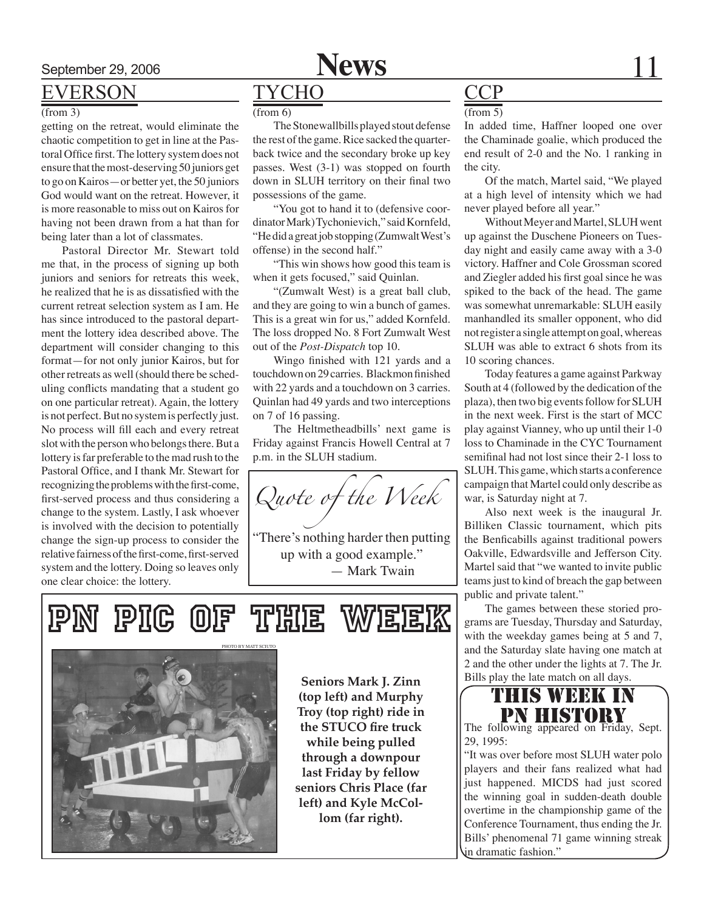

## EVERSON

#### (from 3)

getting on the retreat, would eliminate the chaotic competition to get in line at the Pastoral Office first. The lottery system does not ensure that the most-deserving 50 juniors get to go on Kairos—or better yet, the 50 juniors God would want on the retreat. However, it is more reasonable to miss out on Kairos for having not been drawn from a hat than for being later than a lot of classmates.

Pastoral Director Mr. Stewart told me that, in the process of signing up both juniors and seniors for retreats this week, he realized that he is as dissatisfied with the current retreat selection system as I am. He has since introduced to the pastoral department the lottery idea described above. The department will consider changing to this format—for not only junior Kairos, but for other retreats as well (should there be scheduling conflicts mandating that a student go on one particular retreat). Again, the lottery is not perfect. But no system is perfectly just. No process will fill each and every retreat slot with the person who belongs there. But a lottery is far preferable to the mad rush to the Pastoral Office, and I thank Mr. Stewart for recognizing the problems with the first-come, first-served process and thus considering a change to the system. Lastly, I ask whoever is involved with the decision to potentially change the sign-up process to consider the relative fairness of the first-come, first-served system and the lottery. Doing so leaves only one clear choice: the lottery.

## **TYCHO**

#### $(from 6)$

The Stonewallbills played stout defense the rest of the game. Rice sacked the quarterback twice and the secondary broke up key passes. West (3-1) was stopped on fourth down in SLUH territory on their final two possessions of the game.

"You got to hand it to (defensive coordinator Mark) Tychonievich," said Kornfeld, "He did a great job stopping (Zumwalt West's offense) in the second half."

"This win shows how good this team is when it gets focused," said Quinlan.

"(Zumwalt West) is a great ball club, and they are going to win a bunch of games. This is a great win for us," added Kornfeld. The loss dropped No. 8 Fort Zumwalt West out of the *Post-Dispatch* top 10.

Wingo finished with 121 yards and a touchdown on 29 carries. Blackmon finished with 22 yards and a touchdown on 3 carries. Quinlan had 49 yards and two interceptions on 7 of 16 passing.

The Heltmetheadbills' next game is Friday against Francis Howell Central at 7 p.m. in the SLUH stadium.

*Quote of the Week*

"There's nothing harder then putting up with a good example." — Mark Twain

## PIC OF THE WEEK



**Seniors Mark J. Zinn (top left) and Murphy Troy (top right) ride in the STUCO fire truck while being pulled through a downpour last Friday by fellow seniors Chris Place (far left) and Kyle McCollom (far right).**

## **CCP**

#### $(from 5)$

In added time, Haffner looped one over the Chaminade goalie, which produced the end result of 2-0 and the No. 1 ranking in the city.

Of the match, Martel said, "We played at a high level of intensity which we had never played before all year."

Without Meyer and Martel, SLUH went up against the Duschene Pioneers on Tuesday night and easily came away with a 3-0 victory. Haffner and Cole Grossman scored and Ziegler added his first goal since he was spiked to the back of the head. The game was somewhat unremarkable: SLUH easily manhandled its smaller opponent, who did not register a single attempt on goal, whereas SLUH was able to extract 6 shots from its 10 scoring chances.

Today features a game against Parkway South at 4 (followed by the dedication of the plaza), then two big events follow for SLUH in the next week. First is the start of MCC play against Vianney, who up until their 1-0 loss to Chaminade in the CYC Tournament semifinal had not lost since their 2-1 loss to SLUH. This game, which starts a conference campaign that Martel could only describe as war, is Saturday night at 7.

Also next week is the inaugural Jr. Billiken Classic tournament, which pits the Benficabills against traditional powers Oakville, Edwardsville and Jefferson City. Martel said that "we wanted to invite public teams just to kind of breach the gap between public and private talent."

The games between these storied programs are Tuesday, Thursday and Saturday, with the weekday games being at 5 and 7, and the Saturday slate having one match at 2 and the other under the lights at 7. The Jr. Bills play the late match on all days.



The following appeared on Friday, Sept. 29, 1995:

"It was over before most SLUH water polo players and their fans realized what had just happened. MICDS had just scored the winning goal in sudden-death double overtime in the championship game of the Conference Tournament, thus ending the Jr. Bills' phenomenal 71 game winning streak in dramatic fashion."